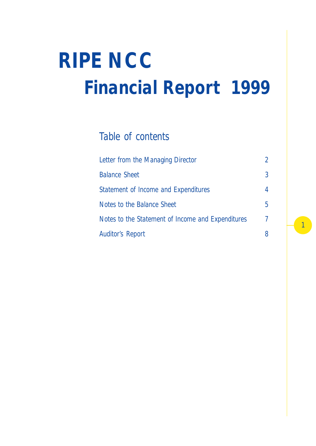# *Financial Report 1999 RIPE NCC*

## *Table of contents*

| Letter from the Managing Director                 | $\mathcal{P}$ |
|---------------------------------------------------|---------------|
| <b>Balance Sheet</b>                              | 3             |
| Statement of Income and Expenditures              | 4             |
| Notes to the Balance Sheet                        | 5             |
| Notes to the Statement of Income and Expenditures | 7             |
| <b>Auditor's Report</b>                           |               |

1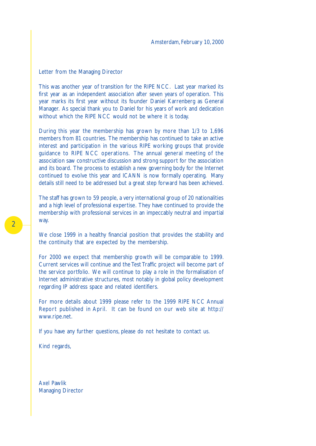#### Letter from the Managing Director

This was another year of transition for the RIPE NCC. Last year marked its first year as an independent association after seven years of operation. This year marks its first year without its founder Daniel Karrenberg as General Manager. As special thank you to Daniel for his years of work and dedication without which the RIPE NCC would not be where it is today.

During this year the membership has grown by more than 1/3 to 1,696 members from 81 countries. The membership has continued to take an active interest and participation in the various RIPE working groups that provide guidance to RIPE NCC operations. The annual general meeting of the association saw constructive discussion and strong support for the association and its board. The process to establish a new governing body for the Internet continued to evolve this year and ICANN is now formally operating. Many details still need to be addressed but a great step forward has been achieved.

The staff has grown to 59 people, a very international group of 20 nationalities and a high level of professional expertise. They have continued to provide the membership with professional services in an impeccably neutral and impartial way.

We close 1999 in a healthy financial position that provides the stability and the continuity that are expected by the membership.

For 2000 we expect that membership growth will be comparable to 1999. Current services will continue and the Test Traffic project will become part of the service portfolio. We will continue to play a role in the formalisation of Internet administrative structures, most notably in global policy development regarding IP address space and related identifiers.

For more details about 1999 please refer to the 1999 RIPE NCC Annual Report published in April. It can be found on our web site at http:// www.ripe.net.

If you have any further questions, please do not hesitate to contact us.

Kind regards,

Axel Pawlik Managing Director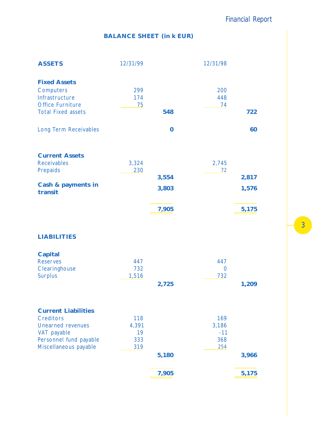*Financial Report*

## **BALANCE SHEET (in k EUR)**

| <b>ASSETS</b>                                                                                              | 12/31/99            |                         | 12/31/98                     |                         |
|------------------------------------------------------------------------------------------------------------|---------------------|-------------------------|------------------------------|-------------------------|
| <b>Fixed Assets</b><br>Computers<br>Infrastructure<br><b>Office Furniture</b><br><b>Total Fixed assets</b> | 299<br>174<br>75    | 548                     | 200<br>448<br>74             | 722                     |
| Long Term Receivables                                                                                      |                     | $\bf{0}$                |                              | 60                      |
| <b>Current Assets</b><br><b>Receivables</b><br>Prepaids<br>Cash & payments in<br>transit                   | 3,324<br>230        | 3,554<br>3,803<br>7,905 | 2,745<br>72                  | 2,817<br>1,576<br>5,175 |
| <b>LIABILITIES</b>                                                                                         |                     |                         |                              |                         |
| Capital<br><b>Reserves</b><br>Clearinghouse<br><b>Surplus</b>                                              | 447<br>732<br>1,516 | 2,725                   | 447<br>$\overline{0}$<br>732 | 1,209                   |
| <b>Current Liabilities</b>                                                                                 |                     |                         |                              |                         |

Creditors 118 169 Unearned revenues 4,391 3,186<br>VAT payable 19 19 VAT payable 19<br>
Personnel fund payable 333<br>
368 Personnel fund payable Miscellaneous payable 319 319 **5 6 ,180 3,96**

**7 5 ,905 5,17**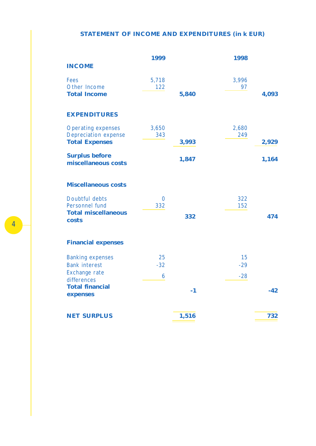## **STATEMENT OF INCOME AND EXPENDITURES (in k EUR)**

|                                              | 1999           |       | 1998  |       |
|----------------------------------------------|----------------|-------|-------|-------|
| <b>INCOME</b>                                |                |       |       |       |
| <b>Fees</b>                                  | 5,718          |       | 3,996 |       |
| Other Income                                 | 122            |       | 97    |       |
| <b>Total Income</b>                          |                | 5,840 |       | 4,093 |
| <b>EXPENDITURES</b>                          |                |       |       |       |
| <b>Operating expenses</b>                    | 3,650          |       | 2,680 |       |
| <b>Depreciation expense</b>                  | 343            |       | 249   |       |
| <b>Total Expenses</b>                        |                | 3,993 |       | 2,929 |
| <b>Surplus before</b><br>miscellaneous costs |                | 1,847 |       | 1,164 |
| <b>Miscellaneous costs</b>                   |                |       |       |       |
| Doubtful debts                               | $\overline{0}$ |       | 322   |       |
| Personnel fund                               | 332            |       | 152   |       |
| <b>Total miscellaneous</b><br>costs          |                | 332   |       | 474   |
| <b>Financial expenses</b>                    |                |       |       |       |
| <b>Banking expenses</b>                      | 25             |       | 15    |       |
| <b>Bank interest</b>                         | $-32$          |       | $-29$ |       |
| Exchange rate<br>differences                 | 6              |       | $-28$ |       |
| <b>Total financial</b>                       |                |       |       |       |
| expenses                                     |                | $-1$  |       | $-42$ |
| <b>NET SURPLUS</b>                           |                | 1,516 |       | 732   |
|                                              |                |       |       |       |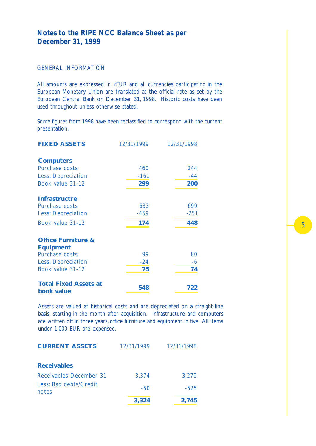## *Notes to the RIPE NCC Balance Sheet as per December 31, 1999*

#### GENERAL INFORMATION

All amounts are expressed in kEUR and all currencies participating in the European Monetary Union are translated at the official rate as set by the European Central Bank on December 31, 1998. Historic costs have been used throughout unless otherwise stated.

Some figures from 1998 have been reclassified to correspond with the current presentation.

| <b>FIXED ASSETS</b>                        | 12/31/1999 | 12/31/1998 |
|--------------------------------------------|------------|------------|
| <b>Computers</b>                           |            |            |
| Purchase costs                             | 460        | 244        |
| <b>Less: Depreciation</b>                  | $-161$     | $-44$      |
| Book value 31-12                           | 299        | 200        |
| <b>Infrastructre</b>                       |            |            |
| Purchase costs                             | 633        | 699        |
| <b>Less: Depreciation</b>                  | $-459$     | $-251$     |
| Book value 31-12                           | 174        | 448        |
| <b>Office Furniture &amp;</b>              |            |            |
| <b>Equipment</b>                           |            |            |
| Purchase costs                             | 99         | 80         |
| <b>Less: Depreciation</b>                  | $-24$      | -6         |
| Book value 31-12                           | 75         | 74         |
| <b>Total Fixed Assets at</b><br>book value | 548        | 722        |

Assets are valued at historical costs and are depreciated on a straight-line basis, starting in the month after acquisition. Infrastructure and computers are written off in three years, office furniture and equipment in five. All items under 1,000 EUR are expensed.

| <b>CURRENT ASSETS</b>           | 12/31/1999 | 12/31/1998 |
|---------------------------------|------------|------------|
| <b>Receivables</b>              |            |            |
| Receivables December 31         | 3,374      | 3,270      |
| Less: Bad debts/Credit<br>notes | $-50$      | $-525$     |
|                                 | 3,324      | 2,745      |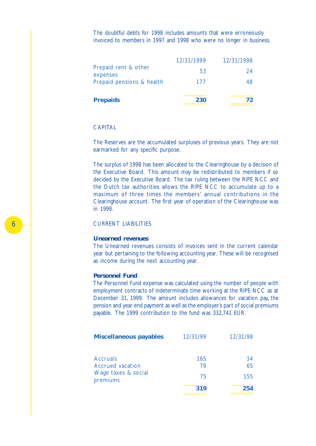The doubtful debts for 1998 includes amounts that were erroneously invoiced to members in 1997 and 1998 who were no longer in business.

|                                  | 12/31/1999 | 12/31/1998 |
|----------------------------------|------------|------------|
| Prepaid rent & other<br>expenses | 53         | 24         |
| Prepaid pensions & health        | 177        | 48         |
|                                  |            |            |
| <b>Prepaids</b>                  | 230        | 72         |

#### **CAPITAL**

The Reserves are the accumulated surpluses of previous years. They are not earmarked for any specific purpose.

The surplus of 1998 has been allocated to the Clearinghouse by a decision of the Executive Board. This amount may be redistributed to members if so decided by the Executive Board. The tax ruling between the RIPE NCC and the Dutch tax authorities allows the RIPE NCC to accumulate up to a maximum of three times the members' annual contributions in the Clearinghouse account. The first year of operation of the Clearinghouse was in 1998.

#### CURRENT LIABILITIES

#### **Unearned revenues**

The Unearned revenues consists of invoices sent in the current calendar year but pertaining to the following accounting year. These will be recognised as income during the next accounting year.

#### **Personnel Fund**

The Personnel Fund expense was calculated using the number of people with employment contracts of indeterminate time working at the RIPE NCC as at December 31, 1999. The amount includes allowances for vacation pay, the pension and year end payment as well as the employer's part of social premiums payable. The 1999 contribution to the fund was 332,741 EUR.

| <b>Miscellaneous payables</b>   | 12/31/99 | 12/31/98 |
|---------------------------------|----------|----------|
|                                 |          |          |
| <b>Accruals</b>                 | 165      | 34       |
| Accrued vacation                | 79       | 65       |
| Wage taxes & social<br>premiums | 75       | 155      |
|                                 | 319      | 254      |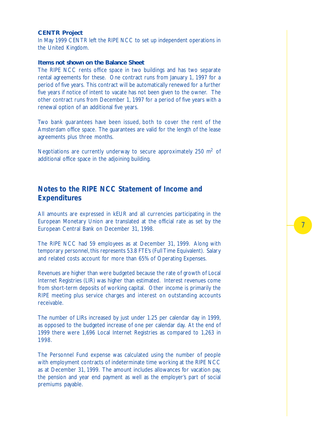#### **CENTR Project**

In May 1999 CENTR left the RIPE NCC to set up independent operations in the United Kingdom.

#### **Items not shown on the Balance Sheet**

The RIPE NCC rents office space in two buildings and has two separate rental agreements for these. One contract runs from January 1, 1997 for a period of five years. This contract will be automatically renewed for a further five years if notice of intent to vacate has not been given to the owner. The other contract runs from December 1, 1997 for a period of five years with a renewal option of an additional five years.

Two bank guarantees have been issued, both to cover the rent of the Amsterdam office space. The guarantees are valid for the length of the lease agreements plus three months.

Negotiations are currently underway to secure approximately 250  $m<sup>2</sup>$  of additional office space in the adjoining building.

## *Notes to the RIPE NCC Statement of Income and Expenditures*

All amounts are expressed in kEUR and all currencies participating in the European Monetary Union are translated at the official rate as set by the European Central Bank on December 31, 1998.

The RIPE NCC had 59 employees as at December 31, 1999. Along with temporary personnel, this represents 53.8 FTE's (Full Time Equivalent). Salary and related costs account for more than 65% of Operating Expenses.

Revenues are higher than were budgeted because the rate of growth of Local Internet Registries (LIR) was higher than estimated. Interest revenues come from short-term deposits of working capital. Other income is primarily the RIPE meeting plus service charges and interest on outstanding accounts receivable.

The number of LIRs increased by just under 1.25 per calendar day in 1999, as opposed to the budgeted increase of one per calendar day. At the end of 1999 there were 1,696 Local Internet Registries as compared to 1,263 in 1998.

The Personnel Fund expense was calculated using the number of people with employment contracts of indeterminate time working at the RIPE NCC as at December 31, 1999. The amount includes allowances for vacation pay, the pension and year end payment as well as the employer's part of social premiums payable.